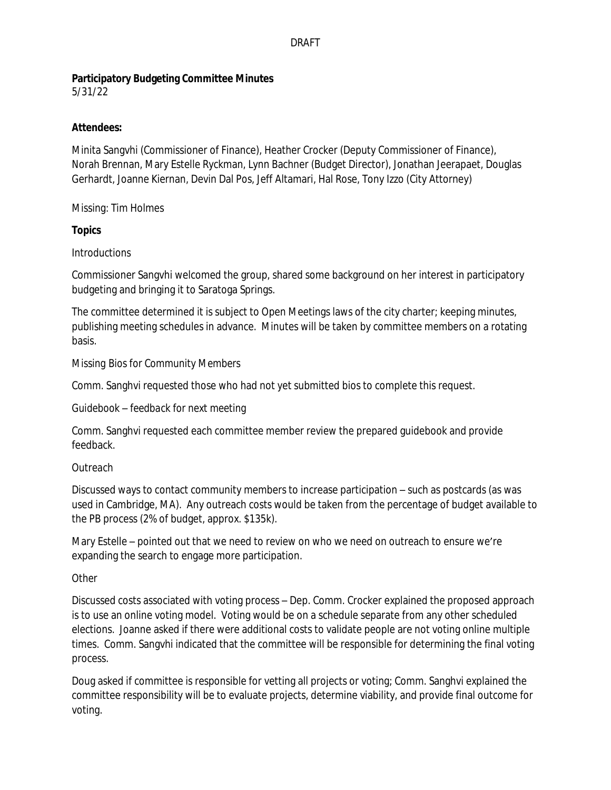# **Participatory Budgeting Committee Minutes**

5/31/22

### **Attendees:**

Minita Sangvhi (Commissioner of Finance), Heather Crocker (Deputy Commissioner of Finance), Norah Brennan, Mary Estelle Ryckman, Lynn Bachner (Budget Director), Jonathan Jeerapaet, Douglas Gerhardt, Joanne Kiernan, Devin Dal Pos, Jeff Altamari, Hal Rose, Tony Izzo (City Attorney)

Missing: Tim Holmes

# **Topics**

# *Introductions*

Commissioner Sangvhi welcomed the group, shared some background on her interest in participatory budgeting and bringing it to Saratoga Springs.

The committee determined it is subject to Open Meetings laws of the city charter; keeping minutes, publishing meeting schedules in advance. Minutes will be taken by committee members on a rotating basis.

# *Missing Bios for Community Members*

Comm. Sanghvi requested those who had not yet submitted bios to complete this request.

### *Guidebook – feedback for next meeting*

Comm. Sanghvi requested each committee member review the prepared guidebook and provide feedback.

# *Outreach*

Discussed ways to contact community members to increase participation – such as postcards (as was used in Cambridge, MA). Any outreach costs would be taken from the percentage of budget available to the PB process (2% of budget, approx. \$135k).

Mary Estelle – pointed out that we need to review on who we need on outreach to ensure we're expanding the search to engage more participation.

### *Other*

Discussed costs associated with voting process – Dep. Comm. Crocker explained the proposed approach is to use an online voting model. Voting would be on a schedule separate from any other scheduled elections. Joanne asked if there were additional costs to validate people are not voting online multiple times. Comm. Sangvhi indicated that the committee will be responsible for determining the final voting process.

Doug asked if committee is responsible for vetting all projects or voting; Comm. Sanghvi explained the committee responsibility will be to evaluate projects, determine viability, and provide final outcome for voting.